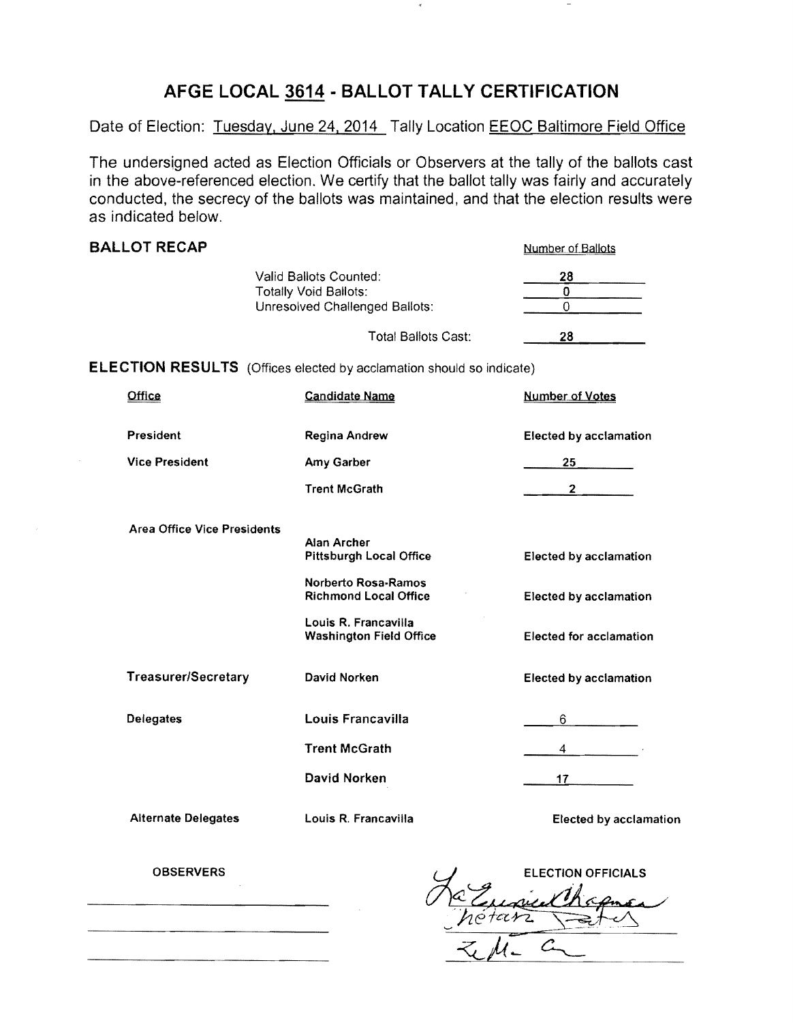## **AFGE LOCAL 3614· BALLOT TALLY CERTIFICATION**

Date of Election: Tuesday, June 24, 2014 Tally Location EEOC Baltimore Field Office

The undersigned acted as Election Officials or Observers at the tally of the ballots cast in the above-referenced election. We certify that the ballot tally was fairly and accurately conducted, the secrecy of the ballots was maintained, and that the election results were as indicated below.

| <b>BALLOT RECAP</b>                |                                                                                                 | Number of Ballots                |
|------------------------------------|-------------------------------------------------------------------------------------------------|----------------------------------|
|                                    | Valid Ballots Counted:<br><b>Totally Void Ballots:</b><br><b>Unresolved Challenged Ballots:</b> | 28<br>$\bf{0}$<br>$\overline{0}$ |
|                                    | <b>Total Ballots Cast:</b>                                                                      | 28                               |
|                                    | <b>ELECTION RESULTS</b> (Offices elected by acclamation should so indicate)                     |                                  |
| Office                             | <b>Candidate Name</b>                                                                           | <b>Number of Votes</b>           |
| <b>President</b>                   | Regina Andrew                                                                                   | <b>Elected by acclamation</b>    |
| <b>Vice President</b>              | Amy Garber                                                                                      | 25                               |
|                                    | <b>Trent McGrath</b>                                                                            | $\overline{2}$                   |
| <b>Area Office Vice Presidents</b> |                                                                                                 |                                  |
|                                    | <b>Alan Archer</b><br><b>Pittsburgh Local Office</b>                                            | Elected by acclamation           |
|                                    | <b>Norberto Rosa-Ramos</b><br><b>Richmond Local Office</b>                                      | <b>Elected by acclamation</b>    |
|                                    | Louis R. Francavilla<br><b>Washington Field Office</b>                                          | <b>Elected for acclamation</b>   |
| <b>Treasurer/Secretary</b>         | David Norken                                                                                    | <b>Elected by acclamation</b>    |
| <b>Delegates</b>                   | Louis Francavilla                                                                               | 6                                |
|                                    | <b>Trent McGrath</b>                                                                            | 4                                |
|                                    | David Norken                                                                                    | 17                               |
| <b>Alternate Delegates</b>         | Louis R. Francavilla                                                                            | <b>Elected by acclamation</b>    |

**OBSERVERS** 

**ELECTION OFFICIALS**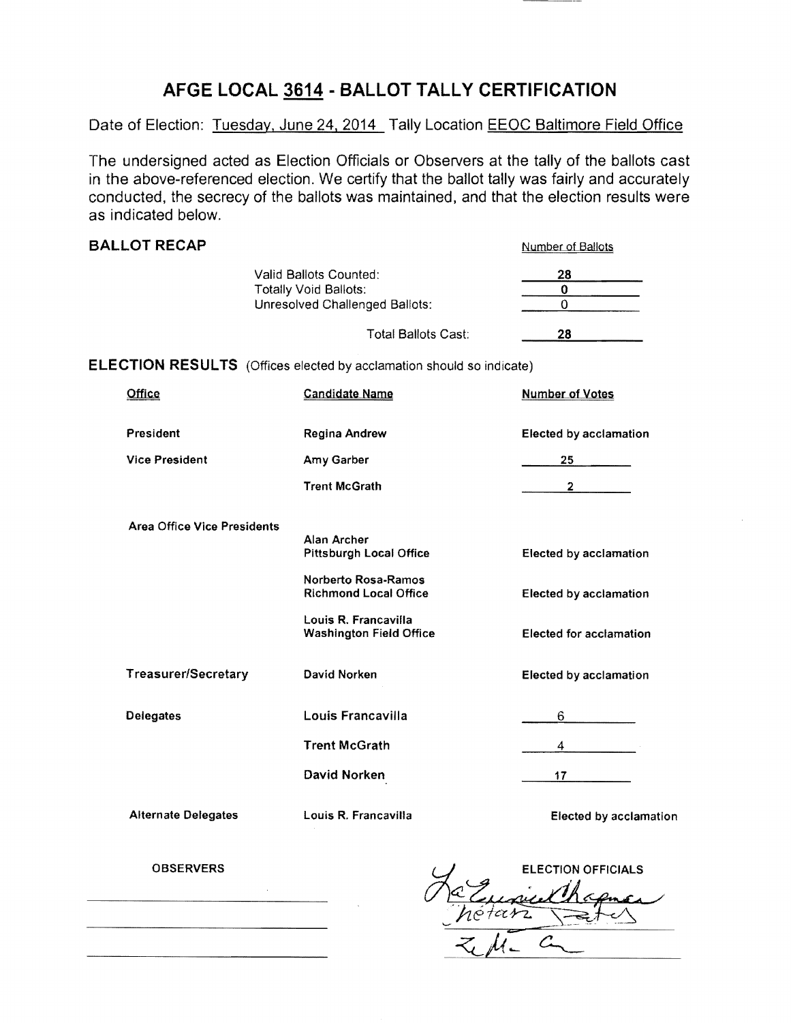## **AFGE LOCAL 3614 - BALLOT TALLY CERTIFICATION**

Date of Election: Tuesday, June 24, 2014 Tally Location EEOC Baltimore Field Office

The undersigned acted as Election Officials or Observers at the tally of the ballots cast in the above-referenced election. We certify that the ballot tally was fairly and accurately conducted, the secrecy of the ballots was maintained, and that the election results were as indicated below.

| <b>BALLOT RECAP</b>                                                                      |                                                                             | Number of Ballots              |
|------------------------------------------------------------------------------------------|-----------------------------------------------------------------------------|--------------------------------|
| Valid Ballots Counted:<br><b>Totally Void Ballots:</b><br>Unresolved Challenged Ballots: |                                                                             | 28<br>$\mathbf 0$<br>$\Omega$  |
|                                                                                          | <b>Total Ballots Cast:</b>                                                  | 28                             |
|                                                                                          | <b>ELECTION RESULTS</b> (Offices elected by acclamation should so indicate) |                                |
| Office                                                                                   | <b>Candidate Name</b>                                                       | <b>Number of Votes</b>         |
| President                                                                                | Regina Andrew                                                               | <b>Elected by acclamation</b>  |
| <b>Vice President</b>                                                                    | Amy Garber                                                                  | 25                             |
|                                                                                          | <b>Trent McGrath</b>                                                        | $2^{\circ}$                    |
| <b>Area Office Vice Presidents</b>                                                       |                                                                             |                                |
|                                                                                          | Alan Archer<br><b>Pittsburgh Local Office</b>                               | <b>Elected by acclamation</b>  |
|                                                                                          | Norberto Rosa-Ramos<br><b>Richmond Local Office</b>                         | <b>Elected by acclamation</b>  |
|                                                                                          | Louis R. Francavilla<br><b>Washington Field Office</b>                      | <b>Elected for acclamation</b> |
| Treasurer/Secretary                                                                      | David Norken                                                                | <b>Elected by acclamation</b>  |
| <b>Delegates</b>                                                                         | Louis Francavilla                                                           | 6                              |
|                                                                                          | <b>Trent McGrath</b>                                                        | 4                              |
|                                                                                          | David Norken                                                                | 17                             |
| <b>Alternate Delegates</b>                                                               | Louis R. Francavilla                                                        | <b>Elected by acclamation</b>  |

**ELECTION OFFICIALS** pul

OBSERVERS